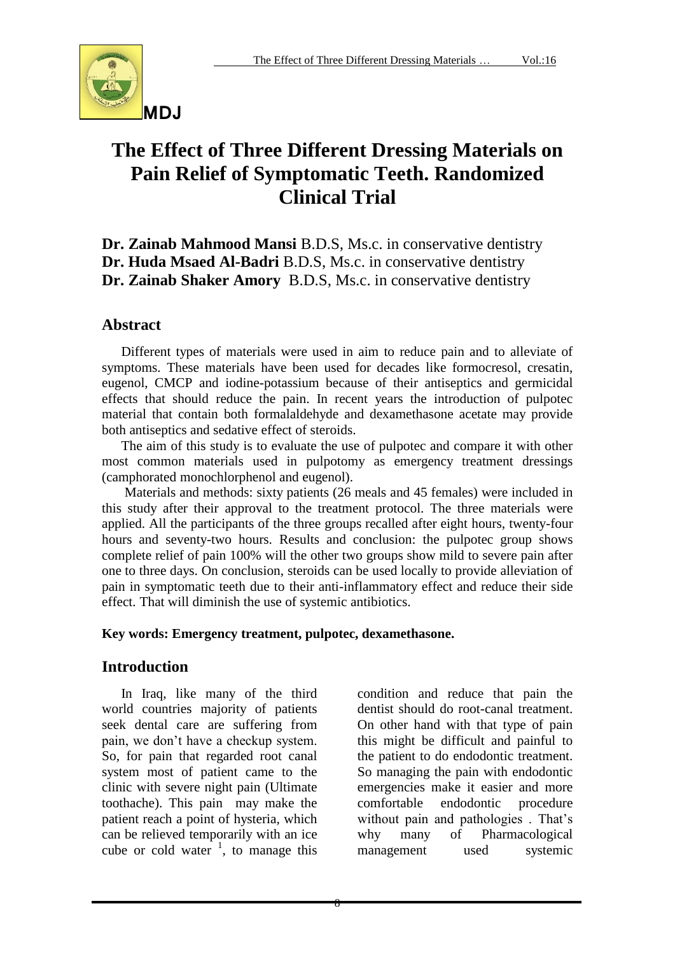

# **The Effect of Three Different Dressing Materials on Pain Relief of Symptomatic Teeth. Randomized Clinical Trial**

**Dr. Zainab Mahmood Mansi** B.D.S, Ms.c. in conservative dentistry **Dr. Huda Msaed Al-Badri** B.D.S, Ms.c. in conservative dentistry **Dr. Zainab Shaker Amory** B.D.S, Ms.c. in conservative dentistry

### **Abstract**

Different types of materials were used in aim to reduce pain and to alleviate of symptoms. These materials have been used for decades like formocresol, cresatin, eugenol, CMCP and iodine-potassium because of their antiseptics and germicidal effects that should reduce the pain. In recent years the introduction of pulpotec material that contain both formalaldehyde and dexamethasone acetate may provide both antiseptics and sedative effect of steroids.

The aim of this study is to evaluate the use of pulpotec and compare it with other most common materials used in pulpotomy as emergency treatment dressings (camphorated monochlorphenol and eugenol).

Materials and methods: sixty patients (26 meals and 45 females) were included in this study after their approval to the treatment protocol. The three materials were applied. All the participants of the three groups recalled after eight hours, twenty-four hours and seventy-two hours. Results and conclusion: the pulpotec group shows complete relief of pain 100% will the other two groups show mild to severe pain after one to three days. On conclusion, steroids can be used locally to provide alleviation of pain in symptomatic teeth due to their anti-inflammatory effect and reduce their side effect. That will diminish the use of systemic antibiotics.

#### **Key words: Emergency treatment, pulpotec, dexamethasone.**

## **Introduction**

In Iraq, like many of the third world countries majority of patients seek dental care are suffering from pain, we don't have a checkup system. So, for pain that regarded root canal system most of patient came to the clinic with severe night pain (Ultimate toothache). This pain may make the patient reach a point of hysteria, which can be relieved temporarily with an ice cube or cold water  $\frac{1}{1}$ , to manage this condition and reduce that pain the dentist should do root-canal treatment. On other hand with that type of pain this might be difficult and painful to the patient to do endodontic treatment. So managing the pain with endodontic emergencies make it easier and more comfortable endodontic procedure without pain and pathologies . That's why many of Pharmacological management used systemic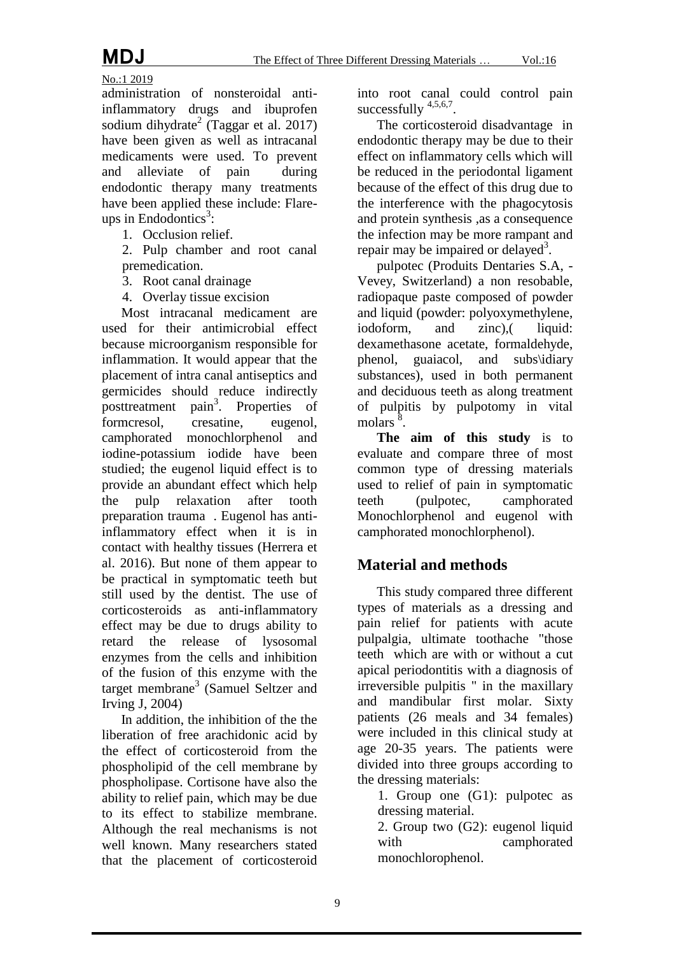No.:1 2019 administration of nonsteroidal antiinflammatory drugs and ibuprofen sodium dihydrate<sup>2</sup> (Taggar et al. 2017) have been given as well as intracanal medicaments were used. To prevent and alleviate of pain during endodontic therapy many treatments have been applied these include: Flareups in Endodontics<sup>3</sup>:

1. Occlusion relief.

2. Pulp chamber and root canal premedication.

3. Root canal drainage

4. Overlay tissue excision

Most intracanal medicament are used for their antimicrobial effect because microorganism responsible for inflammation. It would appear that the placement of intra canal antiseptics and germicides should reduce indirectly posttreatment pain<sup>3</sup>. Properties of formcresol, cresatine, eugenol, camphorated monochlorphenol and iodine-potassium iodide have been studied; the eugenol liquid effect is to provide an abundant effect which help the pulp relaxation after tooth preparation trauma . Eugenol has antiinflammatory effect when it is in contact with healthy tissues (Herrera et al. 2016). But none of them appear to be practical in symptomatic teeth but still used by the dentist. The use of corticosteroids as anti-inflammatory effect may be due to drugs ability to retard the release of lysosomal enzymes from the cells and inhibition of the fusion of this enzyme with the target membrane<sup>3</sup> (Samuel Seltzer and Irving J, 2004)

In addition, the inhibition of the the liberation of free arachidonic acid by the effect of corticosteroid from the phospholipid of the cell membrane by phospholipase. Cortisone have also the ability to relief pain, which may be due to its effect to stabilize membrane. Although the real mechanisms is not well known. Many researchers stated that the placement of corticosteroid into root canal could control pain successfully  $4,5,6,7$ .

The corticosteroid disadvantage in endodontic therapy may be due to their effect on inflammatory cells which will be reduced in the periodontal ligament because of the effect of this drug due to the interference with the phagocytosis and protein synthesis ,as a consequence the infection may be more rampant and repair may be impaired or delayed<sup>3</sup>.

pulpotec (Produits Dentaries S.A, - Vevey, Switzerland) a non resobable, radiopaque paste composed of powder and liquid (powder: polyoxymethylene, iodoform, and zinc), liquid: dexamethasone acetate, formaldehyde, phenol, guaiacol, and subs\idiary substances), used in both permanent and deciduous teeth as along treatment of pulpitis by pulpotomy in vital molars<sup>8</sup>.

**The aim of this study** is to evaluate and compare three of most common type of dressing materials used to relief of pain in symptomatic teeth (pulpotec, camphorated Monochlorphenol and eugenol with camphorated monochlorphenol).

### **Material and methods**

This study compared three different types of materials as a dressing and pain relief for patients with acute pulpalgia, ultimate toothache "those teeth which are with or without a cut apical periodontitis with a diagnosis of irreversible pulpitis " in the maxillary and mandibular first molar. Sixty patients (26 meals and 34 females) were included in this clinical study at age 20-35 years. The patients were divided into three groups according to the dressing materials:

1. Group one (G1): pulpotec as dressing material.

2. Group two (G2): eugenol liquid with camphorated monochlorophenol.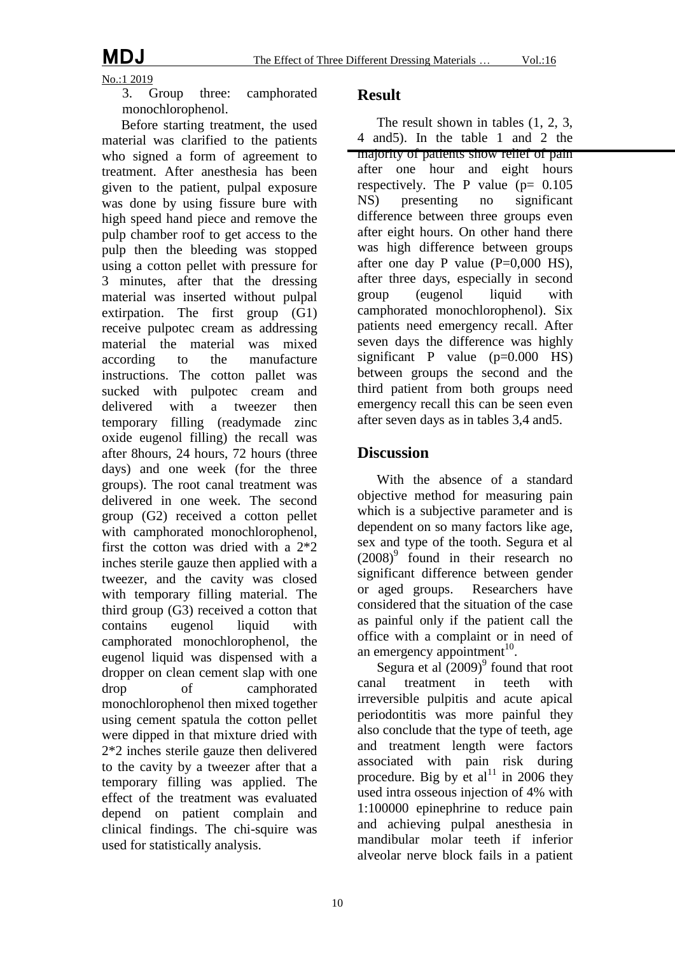$\frac{\text{No.}:1 2019}{3}$ 

Group three: camphorated monochlorophenol.

Before starting treatment, the used material was clarified to the patients who signed a form of agreement to treatment. After anesthesia has been given to the patient, pulpal exposure was done by using fissure bure with high speed hand piece and remove the pulp chamber roof to get access to the pulp then the bleeding was stopped using a cotton pellet with pressure for 3 minutes, after that the dressing material was inserted without pulpal extirpation. The first group (G1) receive pulpotec cream as addressing material the material was mixed according to the manufacture instructions. The cotton pallet was sucked with pulpotec cream and delivered with a tweezer then temporary filling (readymade zinc oxide eugenol filling) the recall was after 8hours, 24 hours, 72 hours (three days) and one week (for the three groups). The root canal treatment was delivered in one week. The second group (G2) received a cotton pellet with camphorated monochlorophenol, first the cotton was dried with a 2\*2 inches sterile gauze then applied with a tweezer, and the cavity was closed with temporary filling material. The third group (G3) received a cotton that contains eugenol liquid with camphorated monochlorophenol, the eugenol liquid was dispensed with a dropper on clean cement slap with one drop of camphorated monochlorophenol then mixed together using cement spatula the cotton pellet were dipped in that mixture dried with 2\*2 inches sterile gauze then delivered to the cavity by a tweezer after that a temporary filling was applied. The effect of the treatment was evaluated depend on patient complain and clinical findings. The chi-squire was used for statistically analysis.

#### **Result**

The result shown in tables  $(1, 2, 3, 3)$ 4 and5). In the table 1 and 2 the majority of patients show relief of pain after one hour and eight hours respectively. The P value  $(p= 0.105$ NS) presenting no significant difference between three groups even after eight hours. On other hand there was high difference between groups after one day P value  $(P=0,000$  HS), after three days, especially in second<br>group (eugenol liquid with group (eugenol liquid with camphorated monochlorophenol). Six patients need emergency recall. After seven days the difference was highly significant P value  $(p=0.000$  HS) between groups the second and the third patient from both groups need emergency recall this can be seen even after seven days as in tables 3,4 and5.

#### **Discussion**

With the absence of a standard objective method for measuring pain which is a subjective parameter and is dependent on so many factors like age, sex and type of the tooth. Segura et al  $(2008)^9$  found in their research no significant difference between gender or aged groups. Researchers have considered that the situation of the case as painful only if the patient call the office with a complaint or in need of an emergency appointment $10$ .

Segura et al  $(2009)$ <sup>9</sup> found that root canal treatment in teeth with irreversible pulpitis and acute apical periodontitis was more painful they also conclude that the type of teeth, age and treatment length were factors associated with pain risk during procedure. Big by et al<sup>11</sup> in 2006 they used intra osseous injection of 4% with 1:100000 epinephrine to reduce pain and achieving pulpal anesthesia in mandibular molar teeth if inferior alveolar nerve block fails in a patient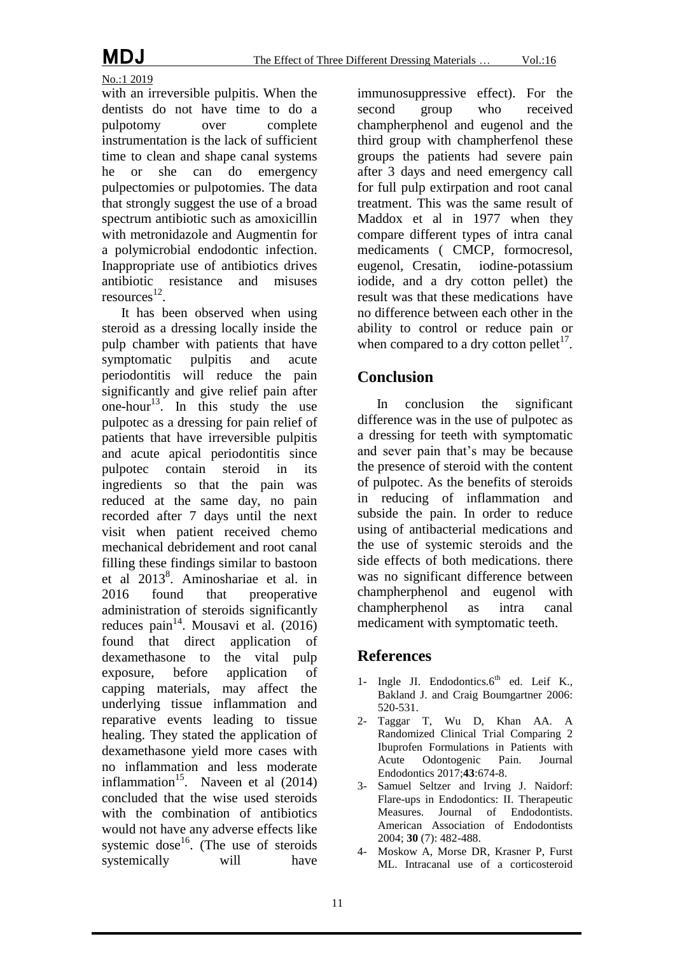No.:1 2019

with an irreversible pulpitis. When the dentists do not have time to do a pulpotomy over complete instrumentation is the lack of sufficient time to clean and shape canal systems he or she can do emergency pulpectomies or pulpotomies. The data that strongly suggest the use of a broad spectrum antibiotic such as amoxicillin with metronidazole and Augmentin for a polymicrobial endodontic infection. Inappropriate use of antibiotics drives antibiotic resistance and misuses  $resources<sup>12</sup>$ .

It has been observed when using steroid as a dressing locally inside the pulp chamber with patients that have symptomatic pulpitis and acute periodontitis will reduce the pain significantly and give relief pain after one-hour<sup>13</sup>. In this study the use pulpotec as a dressing for pain relief of patients that have irreversible pulpitis and acute apical periodontitis since pulpotec contain steroid in its ingredients so that the pain was reduced at the same day, no pain recorded after 7 days until the next visit when patient received chemo mechanical debridement and root canal filling these findings similar to bastoon et al 2013<sup>8</sup>. Aminoshariae et al. in 2016 found that preoperative administration of steroids significantly reduces pain<sup>14</sup>. Mousavi et al.  $(2016)$ found that direct application of dexamethasone to the vital pulp exposure, before application of capping materials, may affect the underlying tissue inflammation and reparative events leading to tissue healing. They stated the application of dexamethasone yield more cases with no inflammation and less moderate inflammation<sup>15</sup>. Naveen et al  $(2014)$ concluded that the wise used steroids with the combination of antibiotics would not have any adverse effects like systemic dose<sup>16</sup>. (The use of steroids systemically will have immunosuppressive effect). For the second group who received champherphenol and eugenol and the third group with champherfenol these groups the patients had severe pain after 3 days and need emergency call for full pulp extirpation and root canal treatment. This was the same result of Maddox et al in 1977 when they compare different types of intra canal medicaments ( CMCP, formocresol, eugenol, Cresatin, iodine-potassium iodide, and a dry cotton pellet) the result was that these medications have no difference between each other in the ability to control or reduce pain or when compared to a dry cotton pellet<sup>17</sup>.

### **Conclusion**

In conclusion the significant difference was in the use of pulpotec as a dressing for teeth with symptomatic and sever pain that's may be because the presence of steroid with the content of pulpotec. As the benefits of steroids in reducing of inflammation and subside the pain. In order to reduce using of antibacterial medications and the use of systemic steroids and the side effects of both medications. there was no significant difference between champherphenol and eugenol with champherphenol as intra canal medicament with symptomatic teeth.

### **References**

- 1- Ingle JI. Endodontics. $6<sup>th</sup>$  ed. Leif K., Bakland J. and Craig Boumgartner 2006: 520-531.
- 2- Taggar T, Wu D, Khan AA. A Randomized Clinical Trial Comparing 2 Ibuprofen Formulations in Patients with Acute Odontogenic Pain. Endodontics 2017;**43**:674-8.
- 3- Samuel Seltzer and Irving J. Naidorf: Flare-ups in Endodontics: II. Therapeutic Measures. Journal of Endodontists. American Association of Endodontists 2004; **30** (7): 482-488.
- 4- Moskow A, Morse DR, Krasner P, Furst ML. Intracanal use of a corticosteroid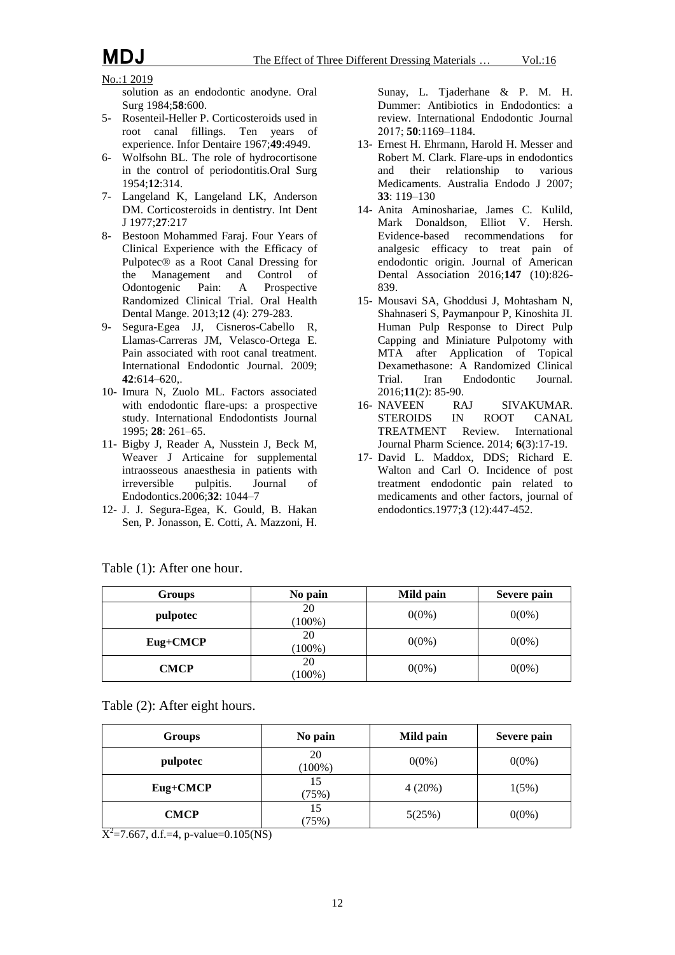#### No.:1 2019

solution as an endodontic anodyne. Oral Surg 1984;**58**:600.

- 5- Rosenteil-Heller P. Corticosteroids used in root canal fillings. Ten years of experience. Infor Dentaire 1967;**49**:4949.
- 6- Wolfsohn BL. The role of hydrocortisone in the control of periodontitis.Oral Surg 1954;**12**:314.
- 7- Langeland K, Langeland LK, Anderson DM. Corticosteroids in dentistry. Int Dent J 1977;**27**:217
- 8- Bestoon Mohammed Faraj. Four Years of Clinical Experience with the Efficacy of Pulpotec® as a Root Canal Dressing for the Management and Control of Odontogenic Pain: A Prospective Odontogenic Pain: A Randomized Clinical Trial. Oral Health Dental Mange. 2013;**12** (4): 279-283.
- 9- Segura-Egea JJ, Cisneros-Cabello R, Llamas-Carreras JM, Velasco-Ortega E. Pain associated with root canal treatment. International Endodontic Journal. 2009; **42**:614–620,.
- 10- Imura N, Zuolo ML. Factors associated with endodontic flare-ups: a prospective study. International Endodontists Journal 1995; **28**: 261–65.
- 11- Bigby J, Reader A, Nusstein J, Beck M, Weaver J Articaine for supplemental intraosseous anaesthesia in patients with irreversible pulpitis. Journal of Endodontics.2006;**32**: 1044–7
- 12- J. J. Segura-Egea, K. Gould, B. Hakan Sen, P. Jonasson, E. Cotti, A. Mazzoni, H.

Sunay, L. Tjaderhane & P. M. H. Dummer: Antibiotics in Endodontics: a review. International Endodontic Journal 2017; **50**:1169–1184.

- 13- Ernest H. Ehrmann, Harold H. Messer and Robert M. Clark. Flare-ups in endodontics and their relationship to various Medicaments. Australia Endodo J 2007; **33**: 119–130
- 14- Anita Aminoshariae, James C. Kulild, Mark Donaldson, Elliot V. Hersh. Evidence-based recommendations for analgesic efficacy to treat pain of endodontic origin. Journal of American Dental Association 2016;**147** (10):826- 839.
- 15- Mousavi SA, Ghoddusi J, Mohtasham N, Shahnaseri S, Paymanpour P, Kinoshita JI. Human Pulp Response to Direct Pulp Capping and Miniature Pulpotomy with MTA after Application of Topical Dexamethasone: A Randomized Clinical<br>Trial. Iran Endodontic Journal. Trial. Iran Endodontic 2016;**11**(2): 85-90.
- 16- NAVEEN RAJ SIVAKUMAR.<br>STEROIDS IN ROOT CANAL ROOT CANAL TREATMENT Review. International Journal Pharm Science. 2014; **6**(3):17-19.
- 17- David L. Maddox, DDS; Richard E. Walton and Carl O. Incidence of post treatment endodontic pain related to medicaments and other factors, journal of endodontics.1977;**3** (12):447-452.

| <b>Groups</b> | No pain         | Mild pain | Severe pain |
|---------------|-----------------|-----------|-------------|
| pulpotec      | 20<br>$(100\%)$ | $0(0\%)$  | $0(0\%)$    |
| Eug+CMCP      | 20<br>$(100\%)$ | $0(0\%)$  | $0(0\%)$    |
| CMCP          | 20<br>$(100\%)$ | $0(0\%)$  | $0(0\%)$    |

Table (1): After one hour.

Table (2): After eight hours.

| <b>Groups</b> | No pain         | Mild pain | Severe pain |
|---------------|-----------------|-----------|-------------|
| pulpotec      | 20<br>$(100\%)$ | $0(0\%)$  | $0(0\%)$    |
| Eug+CMCP      | 15<br>(75%)     | $4(20\%)$ | 1(5%)       |
| <b>CMCP</b>   | 15<br>(75%)     | 5(25%)    | $0(0\%)$    |

 $X^2 = 7.667$ , d.f.=4, p-value=0.105(NS)